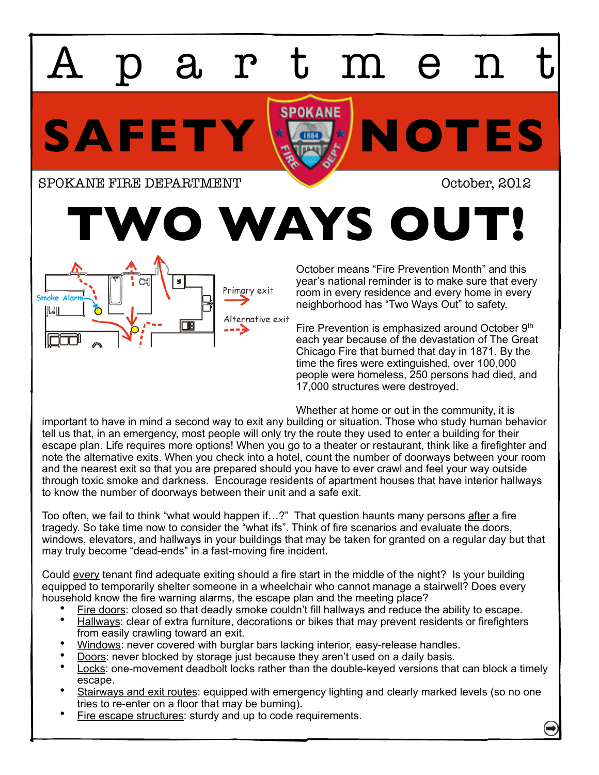artmen

SAFETY **HOTES** 

SPOKANE FIRE DEPARTMENT **SPOKANE FIRE OF PARTMENT** 

**TWO WAYS OUT!**

October means "Fire Prevention Month" and this year's national reminder is to make sure that every room in every residence and every home in every neighborhood has "Two Ways Out" to safety.

Fire Prevention is emphasized around October 9<sup>th</sup> each year because of the devastation of The Great Chicago Fire that burned that day in 1871. By the time the fires were extinguished, over 100,000 people were homeless, 250 persons had died, and 17,000 structures were destroyed.

Whether at home or out in the community, it is

important to have in mind a second way to exit any building or situation. Those who study human behavior tell us that, in an emergency, most people will only try the route they used to enter a building for their escape plan. Life requires more options! When you go to a theater or restaurant, think like a firefighter and note the alternative exits. When you check into a hotel, count the number of doorways between your room and the nearest exit so that you are prepared should you have to ever crawl and feel your way outside through toxic smoke and darkness. Encourage residents of apartment houses that have interior hallways to know the number of doorways between their unit and a safe exit.

Too often, we fail to think "what would happen if...?" That question haunts many persons after a fire tragedy. So take time now to consider the "what ifs". Think of fire scenarios and evaluate the doors, windows, elevators, and hallways in your buildings that may be taken for granted on a regular day but that may truly become "dead-ends" in a fast-moving fire incident.

Could every tenant find adequate exiting should a fire start in the middle of the night? Is your building equipped to temporarily shelter someone in a wheelchair who cannot manage a stairwell? Does every household know the fire warning alarms, the escape plan and the meeting place?

- Fire doors: closed so that deadly smoke couldn't fill hallways and reduce the ability to escape.<br>Hallways: clear of extra furniture, decorations or bikes that may prevent residents or firefighters
- from easily crawling toward an exit.
- 
- 
- Windows: never covered with burglar bars lacking interior, easy-release handles.<br>Doors: never blocked by storage just because they aren't used on a daily basis.<br>Locks: one-movement deadbolt locks rather than the double-key escape.
- Stairways and exit routes: equipped with emergency lighting and clearly marked levels (so no one tries to re-enter on a floor that may be burning).
- Fire escape structures: sturdy and up to code requirements.